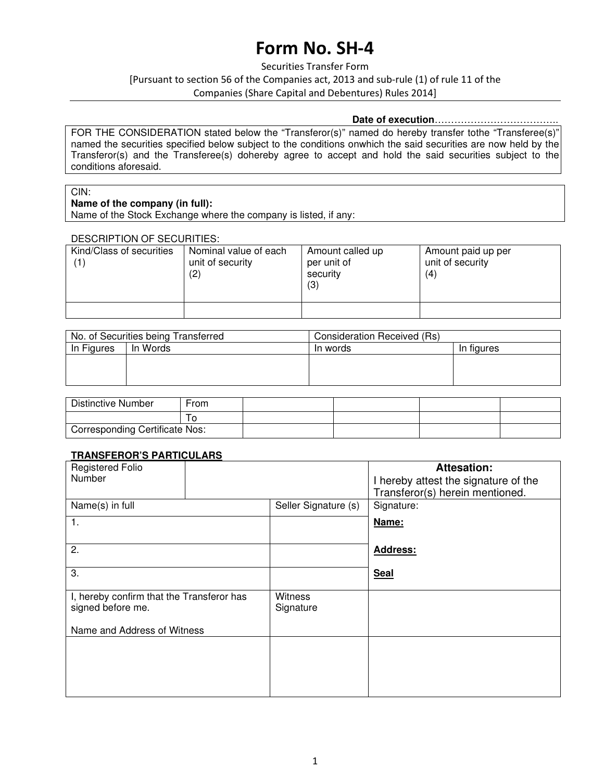# **Form No. SH-4**

Securities Transfer Form [Pursuant to section 56 of the Companies act, 2013 and sub-rule (1) of rule 11 of the Companies (Share Capital and Debentures) Rules 2014]

#### **Date of execution**………………………………..

FOR THE CONSIDERATION stated below the "Transferor(s)" named do hereby transfer tothe "Transferee(s)" named the securities specified below subject to the conditions onwhich the said securities are now held by the Transferor(s) and the Transferee(s) dohereby agree to accept and hold the said securities subject to the conditions aforesaid.

#### CIN:

#### **Name of the company (in full):**

Name of the Stock Exchange where the company is listed, if any:

#### DESCRIPTION OF SECURITIES:

| Kind/Class of securities | Nominal value of each<br>unit of security<br>(2) | Amount called up<br>per unit of<br>security<br>(3) | Amount paid up per<br>unit of security<br>(4) |
|--------------------------|--------------------------------------------------|----------------------------------------------------|-----------------------------------------------|
|                          |                                                  |                                                    |                                               |

| No. of Securities being Transferred |          | Consideration Received (Rs) |            |
|-------------------------------------|----------|-----------------------------|------------|
| In Figures                          | In Words | In words                    | In figures |
|                                     |          |                             |            |
|                                     |          |                             |            |
|                                     |          |                             |            |

| <b>Distinctive Number</b>             | From |  |  |
|---------------------------------------|------|--|--|
|                                       |      |  |  |
| <b>Corresponding Certificate Nos:</b> |      |  |  |

#### **TRANSFEROR'S PARTICULARS**

| <b>Registered Folio</b><br>Number         |                      | <b>Attesation:</b><br>I hereby attest the signature of the<br>Transferor(s) herein mentioned. |
|-------------------------------------------|----------------------|-----------------------------------------------------------------------------------------------|
| Name(s) in full                           | Seller Signature (s) | Signature:                                                                                    |
| 1.                                        |                      | Name:                                                                                         |
|                                           |                      |                                                                                               |
| 2.                                        |                      | <b>Address:</b>                                                                               |
| 3.                                        |                      | <b>Seal</b>                                                                                   |
|                                           |                      |                                                                                               |
| I, hereby confirm that the Transferor has | <b>Witness</b>       |                                                                                               |
| signed before me.                         | Signature            |                                                                                               |
| Name and Address of Witness               |                      |                                                                                               |
|                                           |                      |                                                                                               |
|                                           |                      |                                                                                               |
|                                           |                      |                                                                                               |
|                                           |                      |                                                                                               |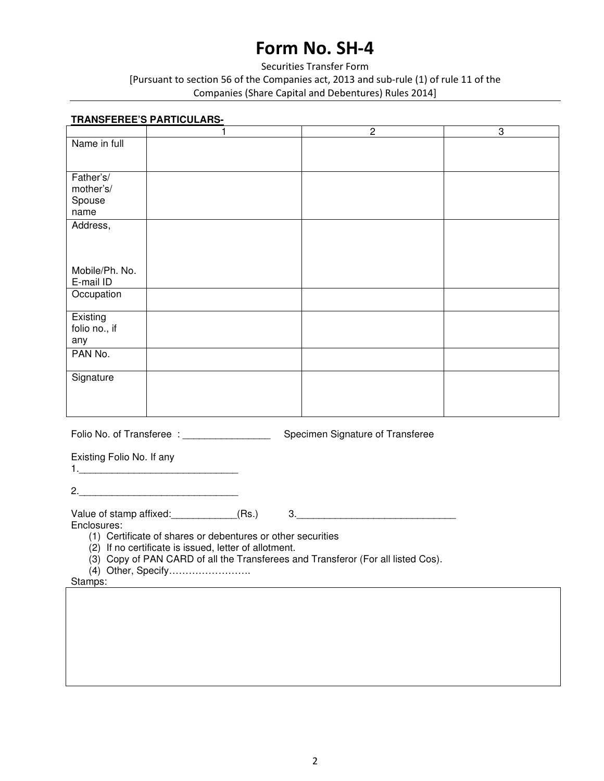# **Form No. SH-4**

### Securities Transfer Form [Pursuant to section 56 of the Companies act, 2013 and sub-rule (1) of rule 11 of the Companies (Share Capital and Debentures) Rules 2014]

## **TRANSFEREE'S PARTICULARS-**  1 2 3 Name in full Father's/ mother's/ Spouse name Address, Mobile/Ph. No. E-mail ID Occupation **Existing** folio no., if any PAN No. **Signature**

Folio No. of Transferee : \_\_\_\_\_\_\_\_\_\_\_\_\_\_\_\_ Specimen Signature of Transferee

Existing Folio No. If any

1.\_\_\_\_\_\_\_\_\_\_\_\_\_\_\_\_\_\_\_\_\_\_\_\_\_\_\_\_\_

2.

Value of stamp affixed:\_\_\_\_\_\_\_\_\_\_\_\_(Rs.) 3.\_\_\_\_\_\_\_\_\_\_\_\_\_\_\_\_\_\_\_\_\_\_\_\_\_\_\_\_\_

Enclosures:

(1) Certificate of shares or debentures or other securities

(2) If no certificate is issued, letter of allotment.

(3) Copy of PAN CARD of all the Transferees and Transferor (For all listed Cos).

(4) Other, Specify…………………….

Stamps: